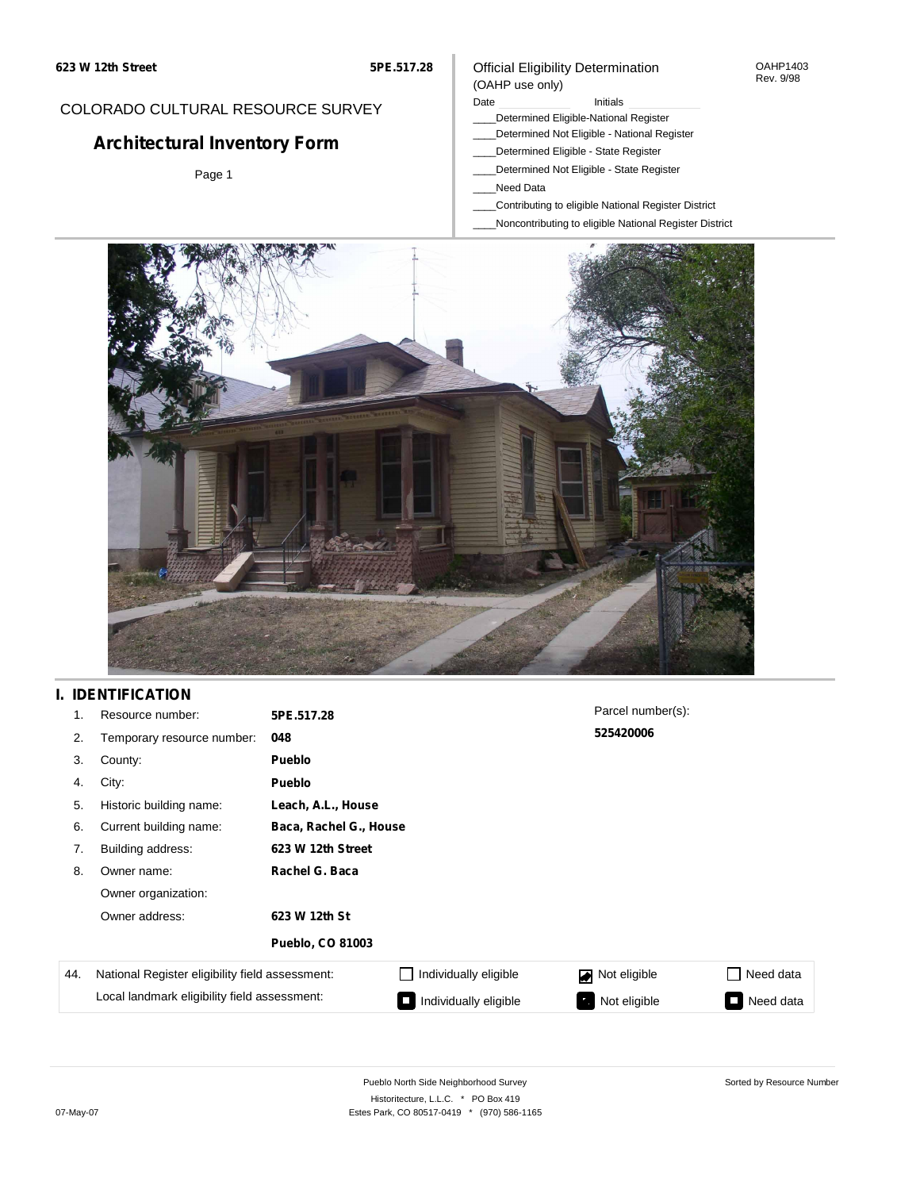#### OAHP1403 Rev. 9/98

#### COLORADO CULTURAL RESOURCE SURVEY

# **Architectural Inventory Form**

Page 1

#### (OAHP use only) Date **Initials** Initials

Official Eligibility Determination

- \_\_\_\_Determined Eligible-National Register
- \_\_\_\_Determined Not Eligible National Register
- \_\_\_\_Determined Eligible State Register
- \_\_\_\_Determined Not Eligible State Register
- \_\_\_\_Need Data
- \_\_\_\_Contributing to eligible National Register District
- \_\_\_\_Noncontributing to eligible National Register District



### **I. IDENTIFICATION**

| 1.  | Resource number:                                | 5PE.517.28              |                       | Parcel number(s): |           |  |  |
|-----|-------------------------------------------------|-------------------------|-----------------------|-------------------|-----------|--|--|
| 2.  | Temporary resource number:                      | 048                     |                       | 525420006         |           |  |  |
| 3.  | County:                                         | Pueblo                  |                       |                   |           |  |  |
| 4.  | City:                                           | <b>Pueblo</b>           |                       |                   |           |  |  |
| 5.  | Historic building name:                         | Leach, A.L., House      |                       |                   |           |  |  |
| 6.  | Current building name:                          | Baca, Rachel G., House  |                       |                   |           |  |  |
| 7.  | Building address:                               | 623 W 12th Street       |                       |                   |           |  |  |
| 8.  | Owner name:                                     | Rachel G. Baca          |                       |                   |           |  |  |
|     | Owner organization:                             |                         |                       |                   |           |  |  |
|     | Owner address:                                  | 623 W 12th St           |                       |                   |           |  |  |
|     |                                                 | <b>Pueblo, CO 81003</b> |                       |                   |           |  |  |
| 44. | National Register eligibility field assessment: |                         | Individually eligible | Not eligible      | Need data |  |  |
|     | Local landmark eligibility field assessment:    |                         | Individually eligible | Not eligible      | Need data |  |  |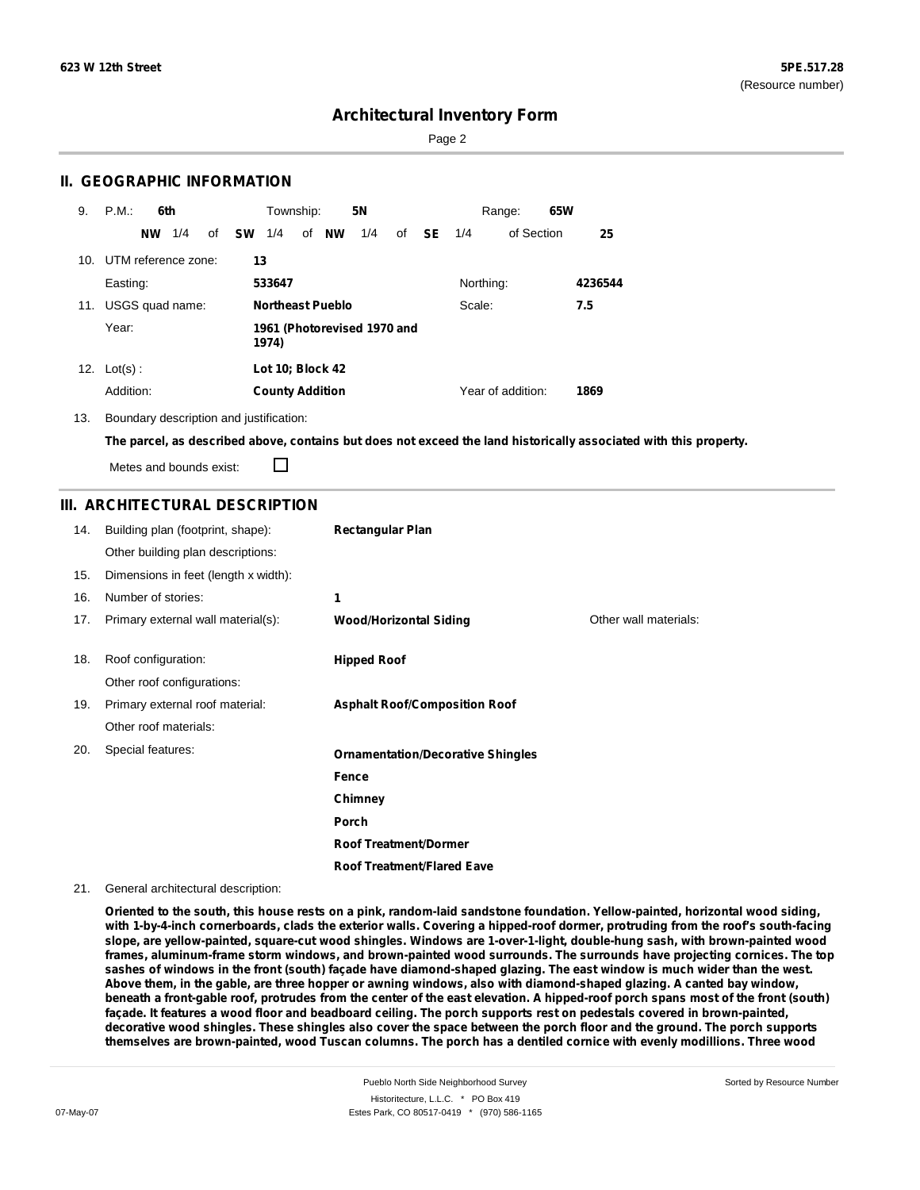Sorted by Resource Number

### **Architectural Inventory Form**

Page 2

#### **II. GEOGRAPHIC INFORMATION**

| 9.  | P.M.<br>6th             | <b>5N</b><br>Township:                                 | 65W<br>Range:             |
|-----|-------------------------|--------------------------------------------------------|---------------------------|
|     | 1/4<br>οf<br><b>NW</b>  | <b>NW</b><br><b>SW</b><br>1/4<br>of<br>1/4<br>SE<br>of | of Section<br>25<br>1/4   |
|     | 10. UTM reference zone: | 13                                                     |                           |
|     | Easting:                | 533647                                                 | Northing:<br>4236544      |
| 11. | USGS quad name:         | <b>Northeast Pueblo</b>                                | Scale:<br>7.5             |
|     | Year:                   | 1961 (Photorevised 1970 and<br>1974)                   |                           |
| 12. | $Lot(s)$ :              | Lot 10; Block 42                                       |                           |
|     | Addition:               | <b>County Addition</b>                                 | Year of addition:<br>1869 |

13. Boundary description and justification:

The parcel, as described above, contains but does not exceed the land historically associated with this property.

Metes and bounds exist:

П

#### **III. ARCHITECTURAL DESCRIPTION**

| 14. | Building plan (footprint, shape):    | <b>Rectangular Plan</b>                  |                       |
|-----|--------------------------------------|------------------------------------------|-----------------------|
|     | Other building plan descriptions:    |                                          |                       |
| 15. | Dimensions in feet (length x width): |                                          |                       |
| 16. | Number of stories:                   | 1                                        |                       |
| 17. | Primary external wall material(s):   | <b>Wood/Horizontal Siding</b>            | Other wall materials: |
|     |                                      |                                          |                       |
| 18. | Roof configuration:                  | <b>Hipped Roof</b>                       |                       |
|     | Other roof configurations:           |                                          |                       |
| 19. | Primary external roof material:      | <b>Asphalt Roof/Composition Roof</b>     |                       |
|     | Other roof materials:                |                                          |                       |
| 20. | Special features:                    | <b>Ornamentation/Decorative Shingles</b> |                       |
|     |                                      | Fence                                    |                       |
|     |                                      | Chimney                                  |                       |
|     |                                      | Porch                                    |                       |
|     |                                      | <b>Roof Treatment/Dormer</b>             |                       |
|     |                                      | <b>Roof Treatment/Flared Eave</b>        |                       |

21. General architectural description:

Oriented to the south, this house rests on a pink, random-laid sandstone foundation. Yellow-painted, horizontal wood siding, with 1-by-4-inch cornerboards, clads the exterior walls. Covering a hipped-roof dormer, protruding from the roof's south-facing **slope, are yellow-painted, square-cut wood shingles. Windows are 1-over-1-light, double-hung sash, with brown-painted wood frames, aluminum-frame storm windows, and brown-painted wood surrounds. The surrounds have projecting cornices. The top** sashes of windows in the front (south) façade have diamond-shaped glazing. The east window is much wider than the west. Above them, in the gable, are three hopper or awning windows, also with diamond-shaped glazing. A canted bay window, beneath a front-gable roof, protrudes from the center of the east elevation. A hipped-roof porch spans most of the front (south) façade. It features a wood floor and beadboard ceiling. The porch supports rest on pedestals covered in brown-painted, decorative wood shingles. These shingles also cover the space between the porch floor and the ground. The porch supports themselves are brown-painted, wood Tuscan columns. The porch has a dentiled cornice with evenly modillions. Three wood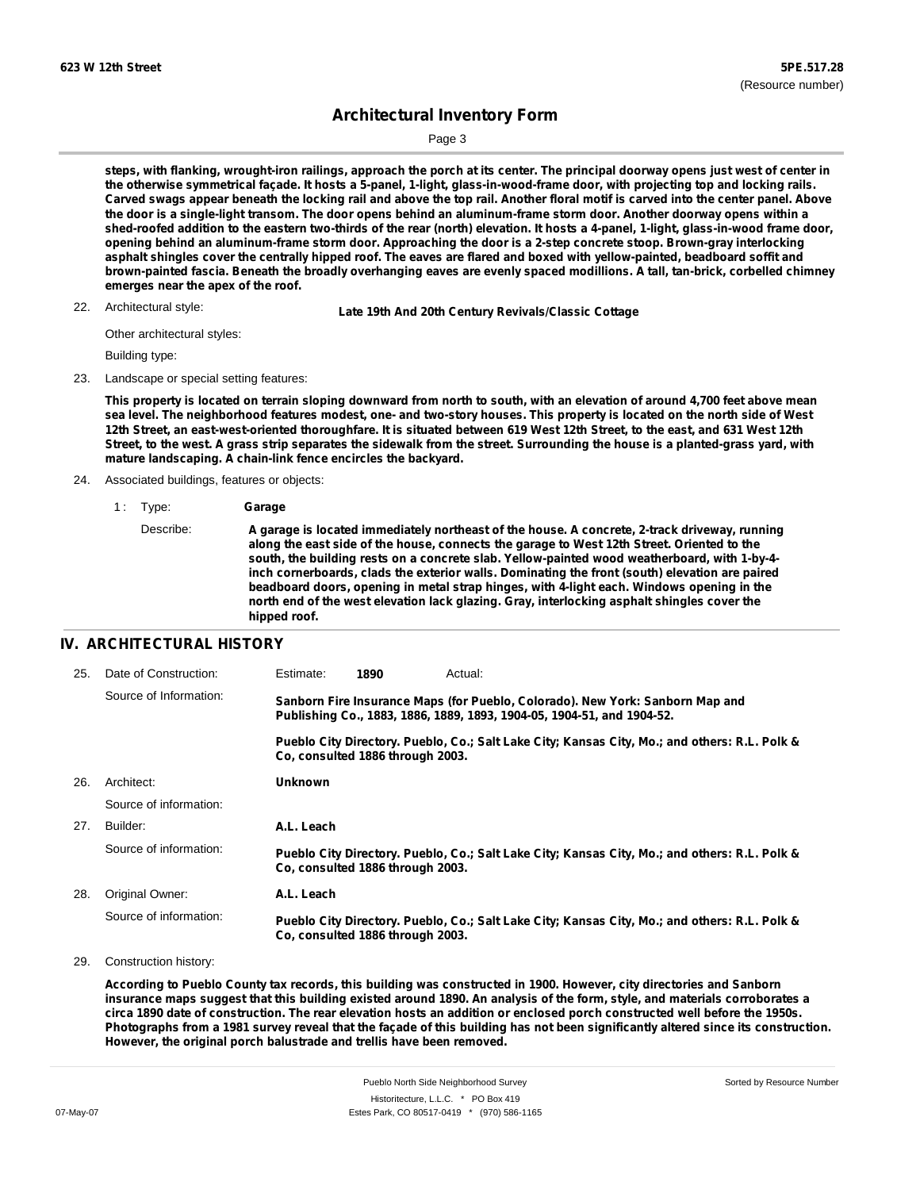Sorted by Resource Number

## **Architectural Inventory Form**

Page 3

steps, with flanking, wrought-iron railings, approach the porch at its center. The principal doorway opens just west of center in the otherwise symmetrical façade. It hosts a 5-panel, 1-light, glass-in-wood-frame door, with projecting top and locking rails. Carved swags appear beneath the locking rail and above the top rail. Another floral motif is carved into the center panel. Above the door is a single-light transom. The door opens behind an aluminum-frame storm door. Another doorway opens within a shed-roofed addition to the eastern two-thirds of the rear (north) elevation. It hosts a 4-panel, 1-light, glass-in-wood frame door, opening behind an aluminum-frame storm door. Approaching the door is a 2-step concrete stoop. Brown-gray interlocking asphalt shingles cover the centrally hipped roof. The eaves are flared and boxed with yellow-painted, beadboard soffit and brown-painted fascia. Beneath the broadly overhanging eaves are evenly spaced modillions. A tall, tan-brick, corbelled chimney **emerges near the apex of the roof.**

22. Architectural style:

22. **Late 19th And 20th Century Revivals/Classic Cottage**

Other architectural styles:

Building type:

23. Landscape or special setting features:

This property is located on terrain sloping downward from north to south, with an elevation of around 4,700 feet above mean sea level. The neighborhood features modest, one- and two-story houses. This property is located on the north side of West 12th Street, an east-west-oriented thoroughfare. It is situated between 619 West 12th Street, to the east, and 631 West 12th Street, to the west. A grass strip separates the sidewalk from the street. Surrounding the house is a planted-grass yard, with **mature landscaping. A chain-link fence encircles the backyard.**

- 24. Associated buildings, features or objects:
	- 1 : Type: **Garage**

#### **IV. ARCHITECTURAL HISTORY**

| 25. | Date of Construction:  | Estimate:                                                                                                                                               | 1890                             | Actual:                                                                                       |
|-----|------------------------|---------------------------------------------------------------------------------------------------------------------------------------------------------|----------------------------------|-----------------------------------------------------------------------------------------------|
|     | Source of Information: | Sanborn Fire Insurance Maps (for Pueblo, Colorado). New York: Sanborn Map and<br>Publishing Co., 1883, 1886, 1889, 1893, 1904-05, 1904-51, and 1904-52. |                                  |                                                                                               |
|     |                        |                                                                                                                                                         | Co. consulted 1886 through 2003. | Pueblo City Directory. Pueblo, Co.; Salt Lake City; Kansas City, Mo.; and others: R.L. Polk & |
| 26. | Architect:             | <b>Unknown</b>                                                                                                                                          |                                  |                                                                                               |
|     | Source of information: |                                                                                                                                                         |                                  |                                                                                               |
| 27. | Builder:               | A.L. Leach                                                                                                                                              |                                  |                                                                                               |
|     | Source of information: |                                                                                                                                                         | Co. consulted 1886 through 2003. | Pueblo City Directory. Pueblo, Co.; Salt Lake City; Kansas City, Mo.; and others: R.L. Polk & |
| 28. | Original Owner:        | A.L. Leach                                                                                                                                              |                                  |                                                                                               |
|     | Source of information: |                                                                                                                                                         | Co. consulted 1886 through 2003. | Pueblo City Directory. Pueblo, Co.; Salt Lake City; Kansas City, Mo.; and others: R.L. Polk & |

29. Construction history:

According to Pueblo County tax records, this building was constructed in 1900. However, city directories and Sanborn insurance maps suggest that this building existed around 1890. An analysis of the form, style, and materials corroborates a circa 1890 date of construction. The rear elevation hosts an addition or enclosed porch constructed well before the 1950s. Photographs from a 1981 survey reveal that the façade of this building has not been significantly altered since its construction. **However, the original porch balustrade and trellis have been removed.**

Describe: **A garage is located immediately northeast of the house. A concrete, 2-track driveway, running along the east side of the house, connects the garage to West 12th Street. Oriented to the south, the building rests on a concrete slab. Yellow-painted wood weatherboard, with 1-by-4 inch cornerboards, clads the exterior walls. Dominating the front (south) elevation are paired beadboard doors, opening in metal strap hinges, with 4-light each. Windows opening in the north end of the west elevation lack glazing. Gray, interlocking asphalt shingles cover the hipped roof.**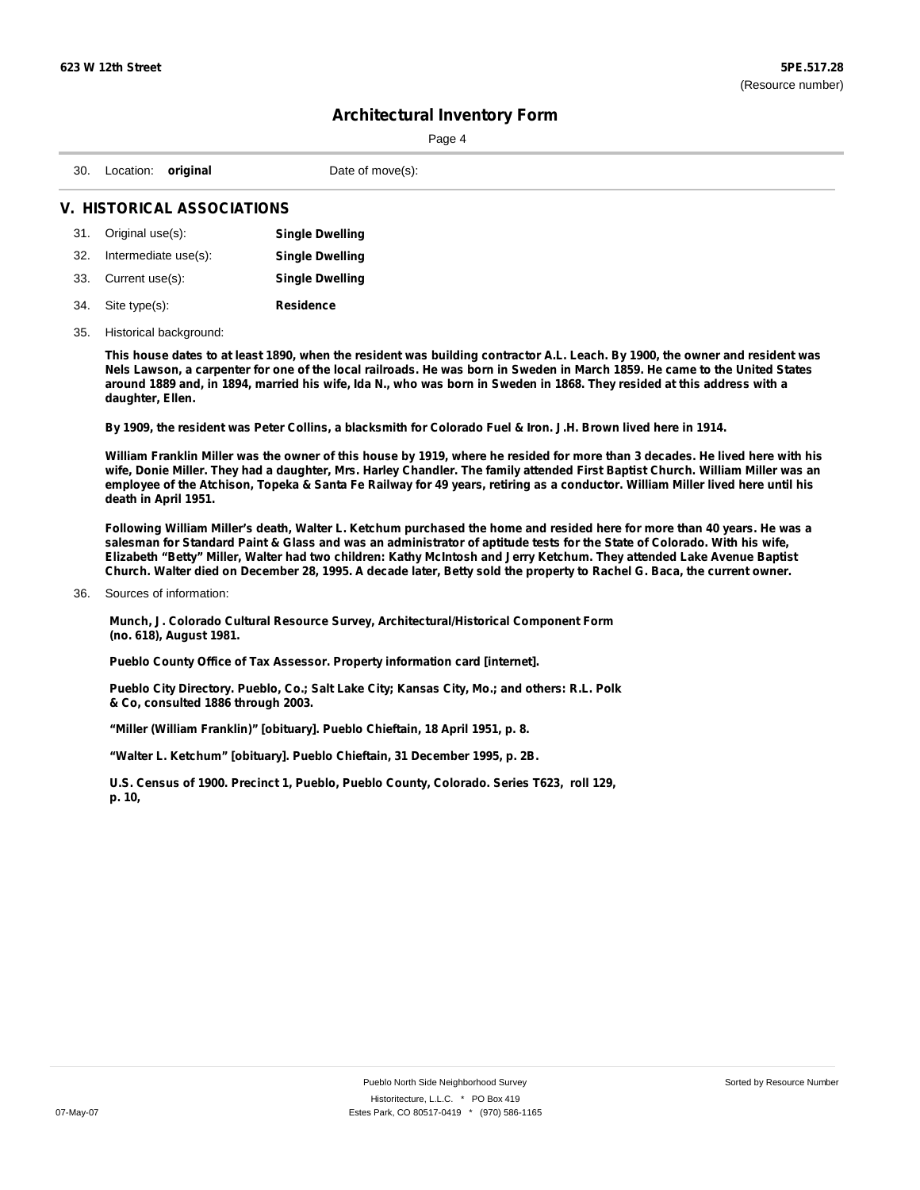|                               | Page 4           |  |  |  |
|-------------------------------|------------------|--|--|--|
| 30. Location: <b>original</b> | Date of move(s): |  |  |  |
| V. HISTORICAL ASSOCIATIONS    |                  |  |  |  |

|     | 31. Original use(s): | <b>Single Dwelling</b> |
|-----|----------------------|------------------------|
| 32. | Intermediate use(s): | <b>Single Dwelling</b> |
|     | 33. Current use(s):  | <b>Single Dwelling</b> |
|     | 34. Site type(s):    | <b>Residence</b>       |

# 35. Historical background:

This house dates to at least 1890, when the resident was building contractor A.L. Leach. By 1900, the owner and resident was Nels Lawson, a carpenter for one of the local railroads. He was born in Sweden in March 1859. He came to the United States around 1889 and, in 1894, married his wife, Ida N., who was born in Sweden in 1868. They resided at this address with a **daughter, Ellen.**

By 1909, the resident was Peter Collins, a blacksmith for Colorado Fuel & Iron. J.H. Brown lived here in 1914.

William Franklin Miller was the owner of this house by 1919, where he resided for more than 3 decades. He lived here with his wife, Donie Miller. They had a daughter, Mrs. Harley Chandler. The family attended First Baptist Church. William Miller was an employee of the Atchison, Topeka & Santa Fe Railway for 49 years, retiring as a conductor. William Miller lived here until his **death in April 1951.**

Following William Miller's death, Walter L. Ketchum purchased the home and resided here for more than 40 years. He was a salesman for Standard Paint & Glass and was an administrator of aptitude tests for the State of Colorado. With his wife, Elizabeth "Betty" Miller, Walter had two children: Kathy McIntosh and Jerry Ketchum. They attended Lake Avenue Baptist Church. Walter died on December 28, 1995. A decade later, Betty sold the property to Rachel G. Baca, the current owner.

Sources of information: 36.

> **Munch, J. Colorado Cultural Resource Survey, Architectural/Historical Component Form (no. 618), August 1981.**

**Pueblo County Office of Tax Assessor. Property information card [internet].**

**Pueblo City Directory. Pueblo, Co.; Salt Lake City; Kansas City, Mo.; and others: R.L. Polk & Co, consulted 1886 through 2003.**

**"Miller (William Franklin)" [obituary]. Pueblo Chieftain, 18 April 1951, p. 8.**

**"Walter L. Ketchum" [obituary]. Pueblo Chieftain, 31 December 1995, p. 2B.**

**U.S. Census of 1900. Precinct 1, Pueblo, Pueblo County, Colorado. Series T623, roll 129, p. 10,**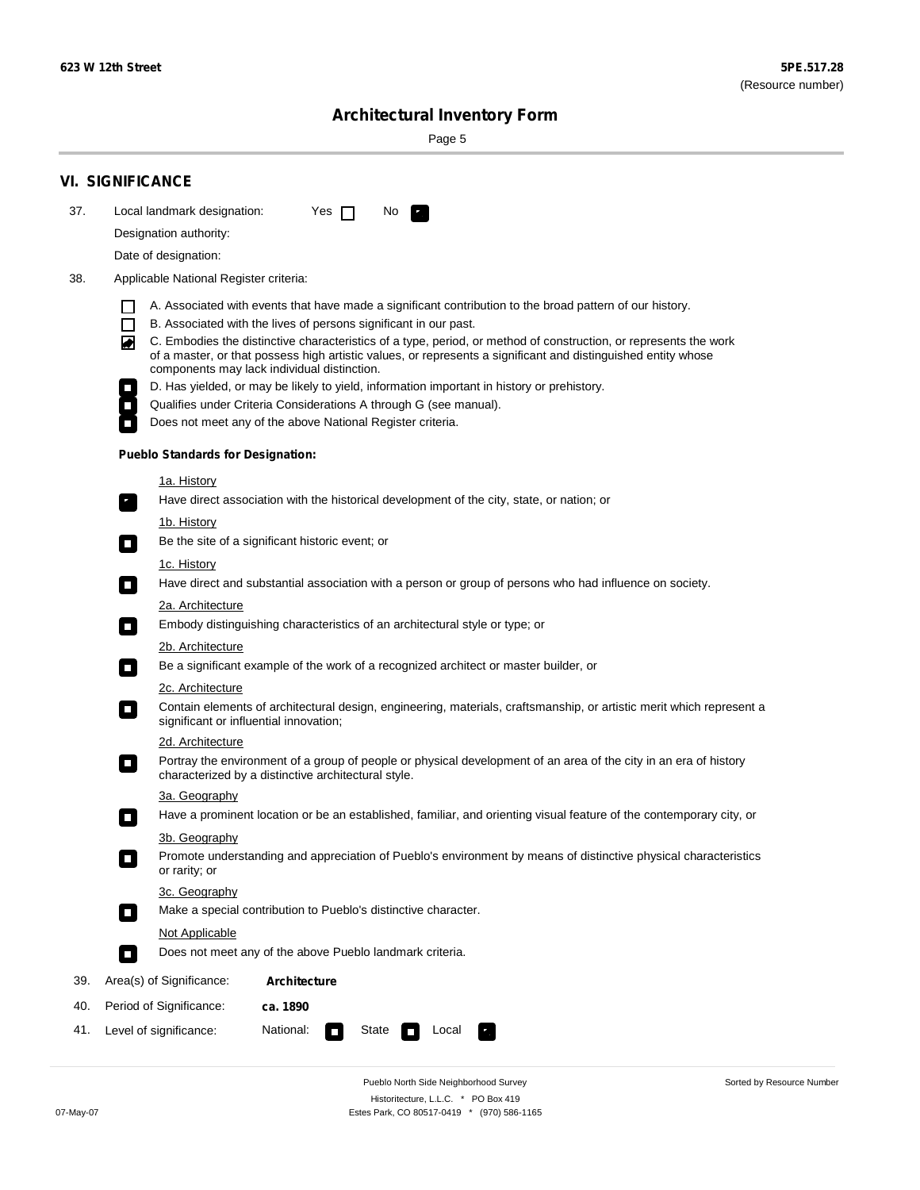Sorted by Resource Number

# **Architectural Inventory Form**

Page 5

|     | <b>VI. SIGNIFICANCE</b>                                                                                                                                                                                                                                                                                                                                                                                                                                                                                                                                                                                                                                                                                                                            |
|-----|----------------------------------------------------------------------------------------------------------------------------------------------------------------------------------------------------------------------------------------------------------------------------------------------------------------------------------------------------------------------------------------------------------------------------------------------------------------------------------------------------------------------------------------------------------------------------------------------------------------------------------------------------------------------------------------------------------------------------------------------------|
| 37. | Local landmark designation:<br>Yes $\Box$<br>No.                                                                                                                                                                                                                                                                                                                                                                                                                                                                                                                                                                                                                                                                                                   |
|     | Designation authority:                                                                                                                                                                                                                                                                                                                                                                                                                                                                                                                                                                                                                                                                                                                             |
|     | Date of designation:                                                                                                                                                                                                                                                                                                                                                                                                                                                                                                                                                                                                                                                                                                                               |
| 38. | Applicable National Register criteria:                                                                                                                                                                                                                                                                                                                                                                                                                                                                                                                                                                                                                                                                                                             |
|     | A. Associated with events that have made a significant contribution to the broad pattern of our history.<br>B. Associated with the lives of persons significant in our past.<br>C. Embodies the distinctive characteristics of a type, period, or method of construction, or represents the work<br>◙<br>of a master, or that possess high artistic values, or represents a significant and distinguished entity whose<br>components may lack individual distinction.<br>D. Has yielded, or may be likely to yield, information important in history or prehistory.<br>Qualifies under Criteria Considerations A through G (see manual).<br>Does not meet any of the above National Register criteria.<br><b>Pueblo Standards for Designation:</b> |
|     |                                                                                                                                                                                                                                                                                                                                                                                                                                                                                                                                                                                                                                                                                                                                                    |
|     | <u>1a. History</u><br>Have direct association with the historical development of the city, state, or nation; or<br>$\overline{\phantom{a}}$ .                                                                                                                                                                                                                                                                                                                                                                                                                                                                                                                                                                                                      |
|     | <u>1b. History</u><br>Be the site of a significant historic event; or<br>$\Box$                                                                                                                                                                                                                                                                                                                                                                                                                                                                                                                                                                                                                                                                    |
|     | 1c. History<br>Have direct and substantial association with a person or group of persons who had influence on society.<br>$\sim$                                                                                                                                                                                                                                                                                                                                                                                                                                                                                                                                                                                                                   |
|     | 2a. Architecture<br>Embody distinguishing characteristics of an architectural style or type; or<br>$\overline{\phantom{a}}$                                                                                                                                                                                                                                                                                                                                                                                                                                                                                                                                                                                                                        |
|     | 2b. Architecture                                                                                                                                                                                                                                                                                                                                                                                                                                                                                                                                                                                                                                                                                                                                   |
|     | Be a significant example of the work of a recognized architect or master builder, or<br>$\overline{\phantom{a}}$                                                                                                                                                                                                                                                                                                                                                                                                                                                                                                                                                                                                                                   |
|     | 2c. Architecture                                                                                                                                                                                                                                                                                                                                                                                                                                                                                                                                                                                                                                                                                                                                   |
|     | Contain elements of architectural design, engineering, materials, craftsmanship, or artistic merit which represent a<br>$\mathcal{L}_{\mathcal{A}}$<br>significant or influential innovation;                                                                                                                                                                                                                                                                                                                                                                                                                                                                                                                                                      |
|     | 2d. Architecture                                                                                                                                                                                                                                                                                                                                                                                                                                                                                                                                                                                                                                                                                                                                   |
|     | Portray the environment of a group of people or physical development of an area of the city in an era of history<br>$\mathcal{L}_{\mathcal{A}}$<br>characterized by a distinctive architectural style.                                                                                                                                                                                                                                                                                                                                                                                                                                                                                                                                             |
|     | 3a. Geography                                                                                                                                                                                                                                                                                                                                                                                                                                                                                                                                                                                                                                                                                                                                      |
|     | Have a prominent location or be an established, familiar, and orienting visual feature of the contemporary city, or<br>П                                                                                                                                                                                                                                                                                                                                                                                                                                                                                                                                                                                                                           |
|     | 3b. Geography<br>Promote understanding and appreciation of Pueblo's environment by means of distinctive physical characteristics                                                                                                                                                                                                                                                                                                                                                                                                                                                                                                                                                                                                                   |
|     | or rarity; or                                                                                                                                                                                                                                                                                                                                                                                                                                                                                                                                                                                                                                                                                                                                      |
|     | 3c. Geography<br>Make a special contribution to Pueblo's distinctive character.<br>О                                                                                                                                                                                                                                                                                                                                                                                                                                                                                                                                                                                                                                                               |
|     | Not Applicable                                                                                                                                                                                                                                                                                                                                                                                                                                                                                                                                                                                                                                                                                                                                     |
|     | Does not meet any of the above Pueblo landmark criteria.<br>$\overline{\phantom{a}}$                                                                                                                                                                                                                                                                                                                                                                                                                                                                                                                                                                                                                                                               |
| 39. | Area(s) of Significance:<br><b>Architecture</b>                                                                                                                                                                                                                                                                                                                                                                                                                                                                                                                                                                                                                                                                                                    |
| 40. | Period of Significance:<br>ca. 1890                                                                                                                                                                                                                                                                                                                                                                                                                                                                                                                                                                                                                                                                                                                |
| 41. | National:<br>Level of significance:<br>State<br>Local<br>$\mathcal{L}_{\mathcal{A}}$                                                                                                                                                                                                                                                                                                                                                                                                                                                                                                                                                                                                                                                               |

Pueblo North Side Neighborhood Survey Historitecture, L.L.C. \* PO Box 419 07-May-07 Estes Park, CO 80517-0419 \* (970) 586-1165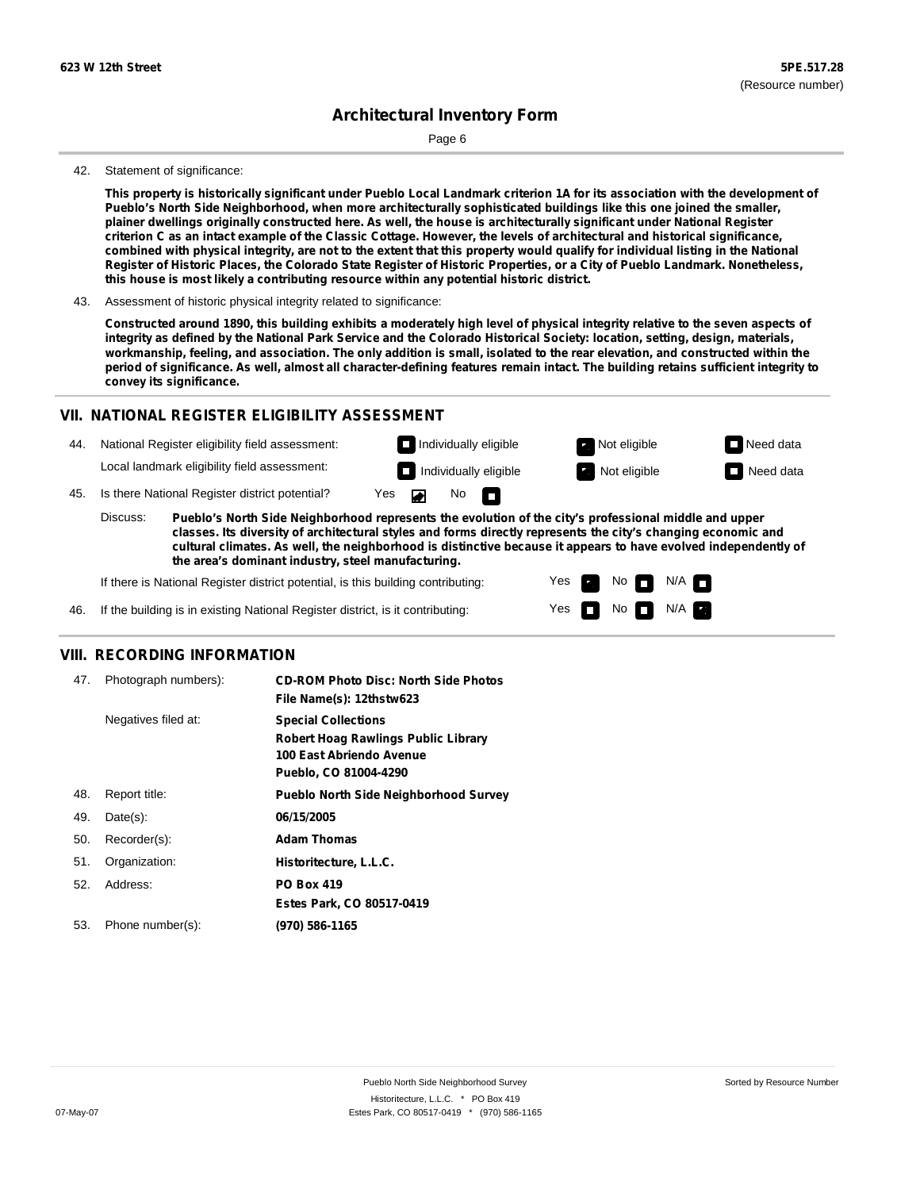Page 6

#### 42. Statement of significance:

This property is historically significant under Pueblo Local Landmark criterion 1A for its association with the development of **Pueblo's North Side Neighborhood, when more architecturally sophisticated buildings like this one joined the smaller,** plainer dwellings originally constructed here. As well, the house is architecturally significant under National Register criterion C as an intact example of the Classic Cottage. However, the levels of architectural and historical significance, combined with physical integrity, are not to the extent that this property would qualify for individual listing in the National Register of Historic Places, the Colorado State Register of Historic Properties, or a City of Pueblo Landmark. Nonetheless, **this house is most likely a contributing resource within any potential historic district.**

Constructed around 1890, this building exhibits a moderately high level of physical integrity relative to the seven aspects of integrity as defined by the National Park Service and the Colorado Historical Society: location, setting, design, materials, workmanship, feeling, and association. The only addition is small, isolated to the rear elevation, and constructed within the period of significance. As well, almost all character-defining features remain intact. The building retains sufficient integrity to **convey its significance.**

#### **VII. NATIONAL REGISTER ELIGIBILITY ASSESSMENT**

44. National Register eligibility field assessment: Local landmark eligibility field assessment:

45. Is there National Register district potential? Yes **Individually eligible Not eligible** Not eligible **Need data** 

**Pueblo's North Side Neighborhood represents the evolution of the city's professional middle and upper classes. Its diversity of architectural styles and forms directly represents the city's changing economic and cultural climates. As well, the neighborhood is distinctive because it appears to have evolved independently of the area's dominant industry, steel manufacturing.** Discuss:

 $\blacksquare$ 

No<sub>D</sub>

Yes Yes No

**Individually eligible Not eligible** Not eligible **Need data** 

 $No$   $N/A$ 

 $N/A$   $\Box$ 

If there is National Register district potential, is this building contributing:



#### **VIII. RECORDING INFORMATION**

| 47. | Photograph numbers): | <b>CD-ROM Photo Disc: North Side Photos</b><br>File Name(s): 12thstw623                                                       |
|-----|----------------------|-------------------------------------------------------------------------------------------------------------------------------|
|     | Negatives filed at:  | <b>Special Collections</b><br><b>Robert Hoag Rawlings Public Library</b><br>100 East Abriendo Avenue<br>Pueblo, CO 81004-4290 |
| 48. | Report title:        | <b>Pueblo North Side Neighborhood Survey</b>                                                                                  |
| 49. | Date(s):             | 06/15/2005                                                                                                                    |
| 50. | Recorder(s):         | <b>Adam Thomas</b>                                                                                                            |
| 51. | Organization:        | Historitecture, L.L.C.                                                                                                        |
| 52. | Address:             | <b>PO Box 419</b>                                                                                                             |
|     |                      | Estes Park, CO 80517-0419                                                                                                     |
| 53. | Phone number(s):     | (970) 586-1165                                                                                                                |

<sup>43.</sup> Assessment of historic physical integrity related to significance: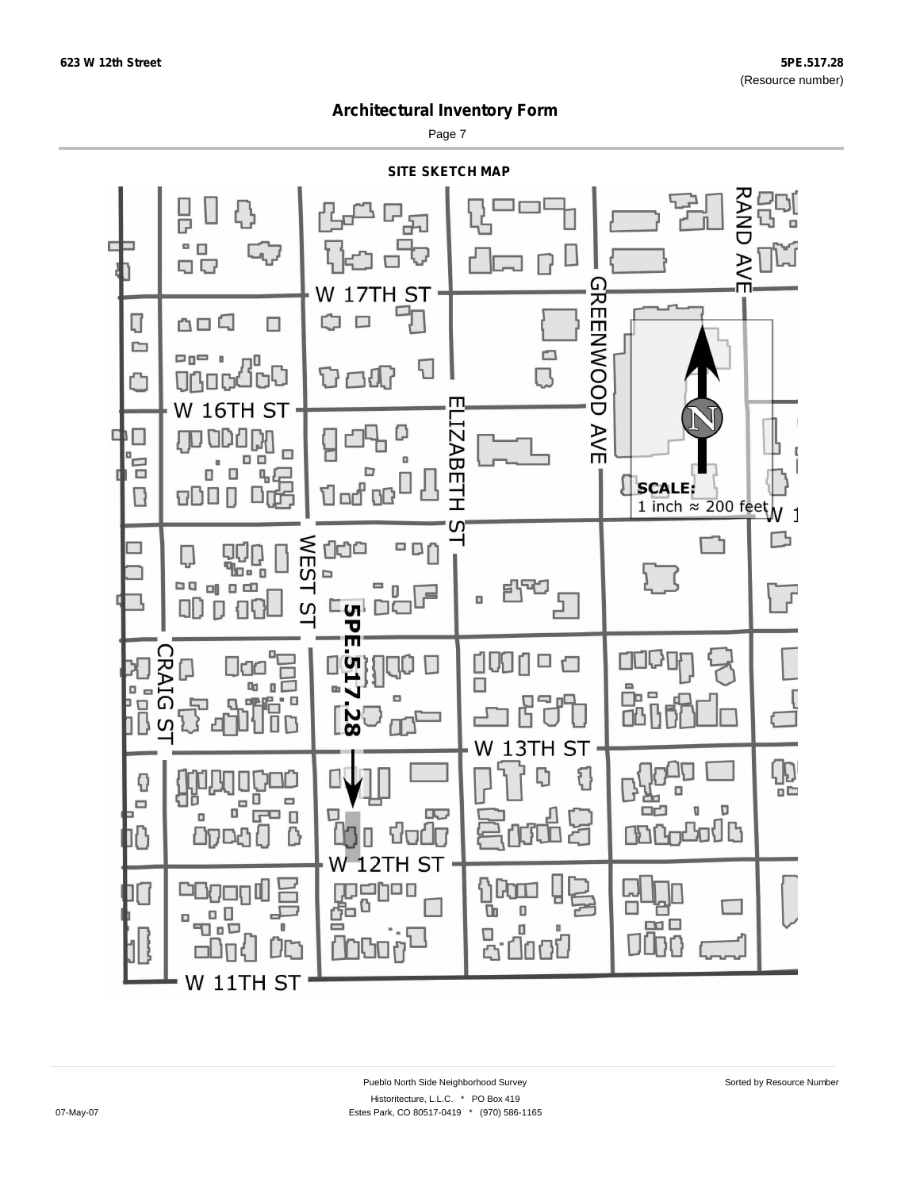Page 7